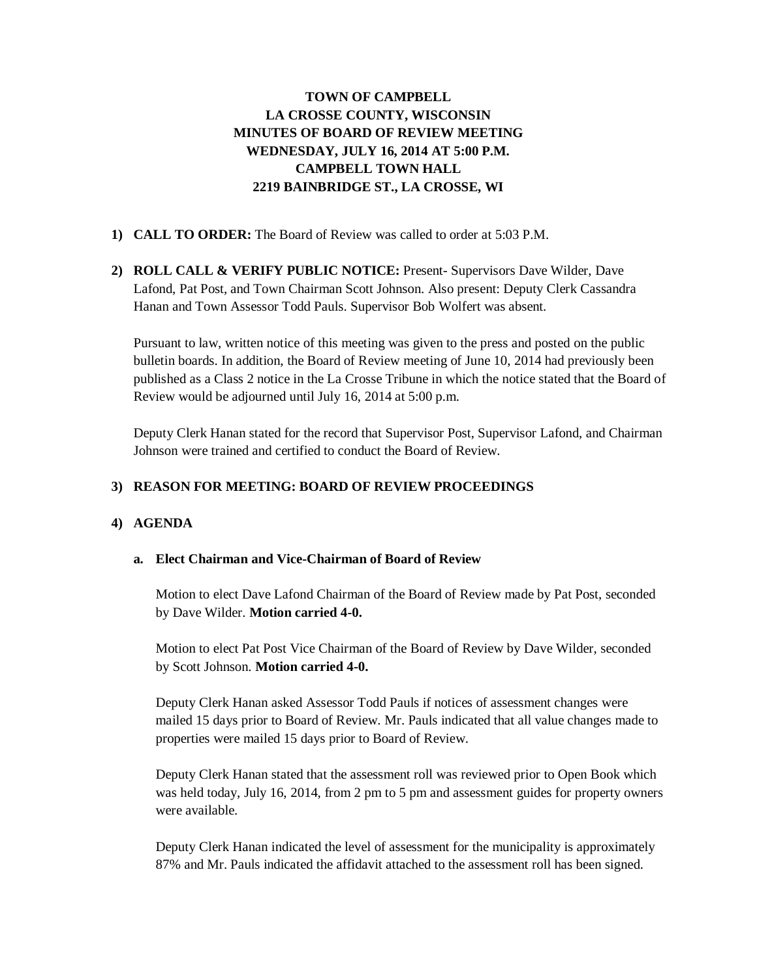# **TOWN OF CAMPBELL LA CROSSE COUNTY, WISCONSIN MINUTES OF BOARD OF REVIEW MEETING WEDNESDAY, JULY 16, 2014 AT 5:00 P.M. CAMPBELL TOWN HALL 2219 BAINBRIDGE ST., LA CROSSE, WI**

# **1) CALL TO ORDER:** The Board of Review was called to order at 5:03 P.M.

**2) ROLL CALL & VERIFY PUBLIC NOTICE:** Present- Supervisors Dave Wilder, Dave Lafond, Pat Post, and Town Chairman Scott Johnson. Also present: Deputy Clerk Cassandra Hanan and Town Assessor Todd Pauls. Supervisor Bob Wolfert was absent.

Pursuant to law, written notice of this meeting was given to the press and posted on the public bulletin boards. In addition, the Board of Review meeting of June 10, 2014 had previously been published as a Class 2 notice in the La Crosse Tribune in which the notice stated that the Board of Review would be adjourned until July 16, 2014 at 5:00 p.m.

Deputy Clerk Hanan stated for the record that Supervisor Post, Supervisor Lafond, and Chairman Johnson were trained and certified to conduct the Board of Review.

# **3) REASON FOR MEETING: BOARD OF REVIEW PROCEEDINGS**

#### **4) AGENDA**

#### **a. Elect Chairman and Vice-Chairman of Board of Review**

Motion to elect Dave Lafond Chairman of the Board of Review made by Pat Post, seconded by Dave Wilder. **Motion carried 4-0.** 

Motion to elect Pat Post Vice Chairman of the Board of Review by Dave Wilder, seconded by Scott Johnson. **Motion carried 4-0.**

Deputy Clerk Hanan asked Assessor Todd Pauls if notices of assessment changes were mailed 15 days prior to Board of Review. Mr. Pauls indicated that all value changes made to properties were mailed 15 days prior to Board of Review.

Deputy Clerk Hanan stated that the assessment roll was reviewed prior to Open Book which was held today, July 16, 2014, from 2 pm to 5 pm and assessment guides for property owners were available.

Deputy Clerk Hanan indicated the level of assessment for the municipality is approximately 87% and Mr. Pauls indicated the affidavit attached to the assessment roll has been signed.